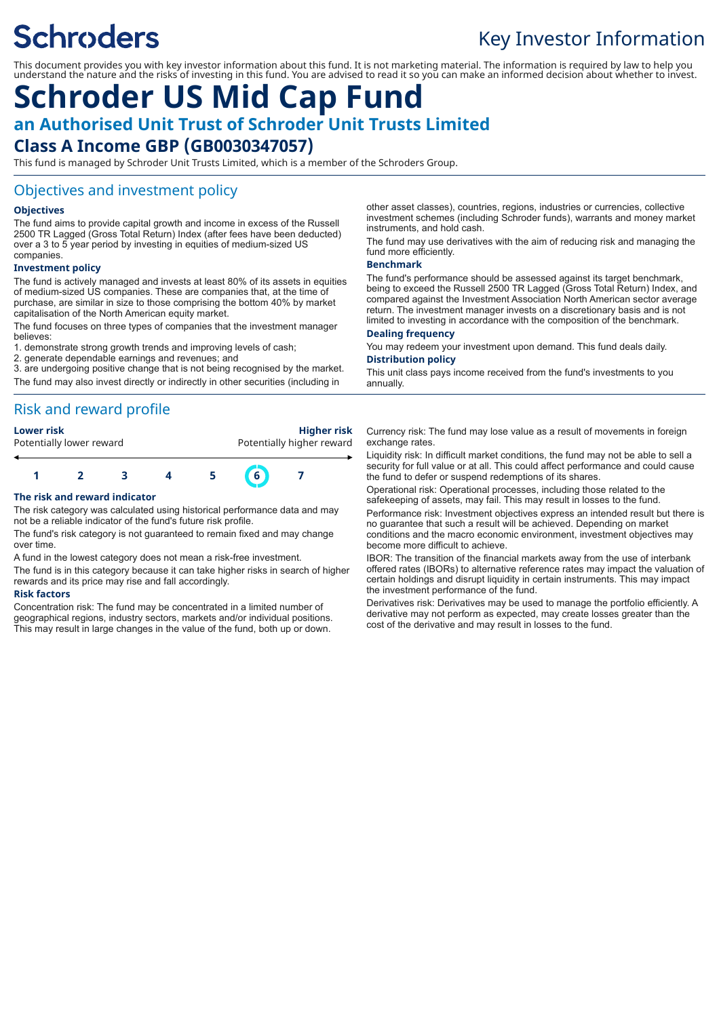# **Schroders**

## Key Investor Information

This document provides you with key investor information about this fund. It is not marketing material. The information is required by law to help you understand the nature and the risks of investing in this fund. You are advised to read it so you can make an informed decision about whether to invest.

## **Schroder US Mid Cap Fund an Authorised Unit Trust of Schroder Unit Trusts Limited**

## **Class A Income GBP (GB0030347057)**

This fund is managed by Schroder Unit Trusts Limited, which is a member of the Schroders Group.

### Objectives and investment policy

#### **Objectives**

The fund aims to provide capital growth and income in excess of the Russell 2500 TR Lagged (Gross Total Return) Index (after fees have been deducted) over a 3 to 5 year period by investing in equities of medium-sized US companies.

#### **Investment policy**

The fund is actively managed and invests at least 80% of its assets in equities of medium-sized US companies. These are companies that, at the time of purchase, are similar in size to those comprising the bottom 40% by market capitalisation of the North American equity market.

The fund focuses on three types of companies that the investment manager believes:

1. demonstrate strong growth trends and improving levels of cash;

2. generate dependable earnings and revenues; and

3. are undergoing positive change that is not being recognised by the market. The fund may also invest directly or indirectly in other securities (including in

## Risk and reward profile

| Lower risk               | <b>Higher risk</b>        |
|--------------------------|---------------------------|
| Potentially lower reward | Potentially higher reward |
|                          |                           |

### **1 2 3 4 5 6 7**

#### **The risk and reward indicator**

The risk category was calculated using historical performance data and may not be a reliable indicator of the fund's future risk profile.

The fund's risk category is not guaranteed to remain fixed and may change over time.

A fund in the lowest category does not mean a risk-free investment.

The fund is in this category because it can take higher risks in search of higher rewards and its price may rise and fall accordingly.

#### **Risk factors**

Concentration risk: The fund may be concentrated in a limited number of geographical regions, industry sectors, markets and/or individual positions. This may result in large changes in the value of the fund, both up or down.

other asset classes), countries, regions, industries or currencies, collective investment schemes (including Schroder funds), warrants and money market instruments, and hold cash.

The fund may use derivatives with the aim of reducing risk and managing the fund more efficiently.

#### **Benchmark**

The fund's performance should be assessed against its target benchmark, being to exceed the Russell 2500 TR Lagged (Gross Total Return) Index, and compared against the Investment Association North American sector average return. The investment manager invests on a discretionary basis and is not limited to investing in accordance with the composition of the benchmark.

#### **Dealing frequency**

You may redeem your investment upon demand. This fund deals daily. **Distribution policy**

This unit class pays income received from the fund's investments to you annually.

Currency risk: The fund may lose value as a result of movements in foreign exchange rates.

Liquidity risk: In difficult market conditions, the fund may not be able to sell a security for full value or at all. This could affect performance and could cause the fund to defer or suspend redemptions of its shares.

Operational risk: Operational processes, including those related to the safekeeping of assets, may fail. This may result in losses to the fund.

Performance risk: Investment objectives express an intended result but there is no guarantee that such a result will be achieved. Depending on market conditions and the macro economic environment, investment objectives may become more difficult to achieve.

IBOR: The transition of the financial markets away from the use of interbank offered rates (IBORs) to alternative reference rates may impact the valuation of certain holdings and disrupt liquidity in certain instruments. This may impact the investment performance of the fund.

Derivatives risk: Derivatives may be used to manage the portfolio efficiently. A derivative may not perform as expected, may create losses greater than the cost of the derivative and may result in losses to the fund.